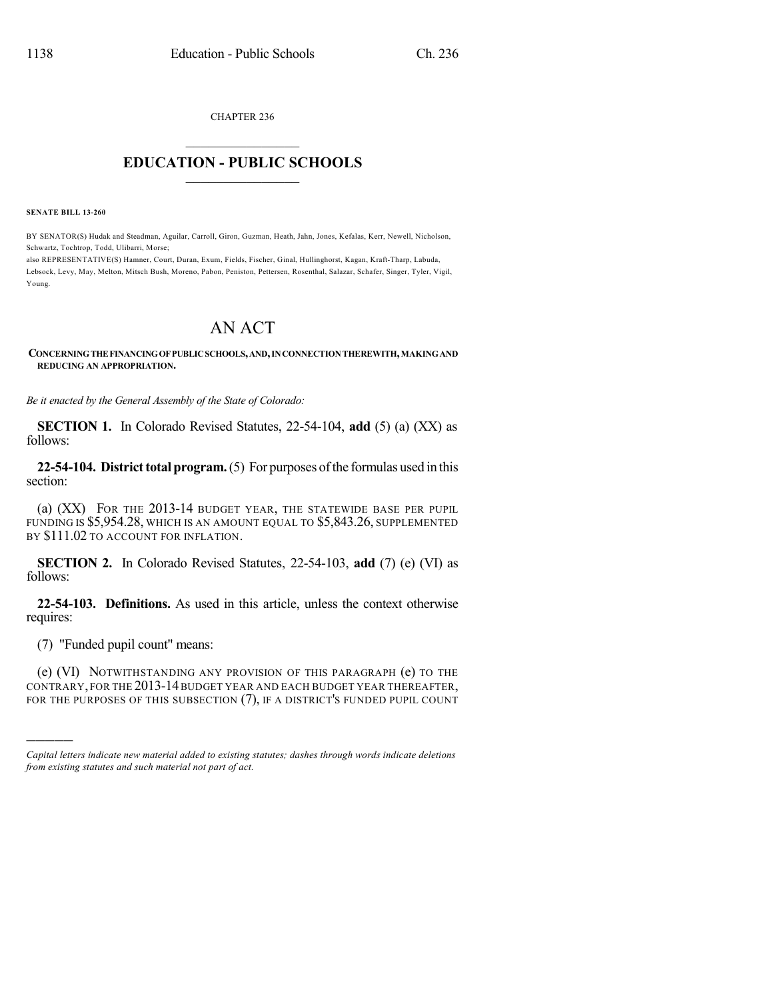CHAPTER 236  $\mathcal{L}_\text{max}$  . The set of the set of the set of the set of the set of the set of the set of the set of the set of the set of the set of the set of the set of the set of the set of the set of the set of the set of the set

## **EDUCATION - PUBLIC SCHOOLS**  $\_$   $\_$   $\_$   $\_$   $\_$   $\_$   $\_$   $\_$   $\_$

**SENATE BILL 13-260**

BY SENATOR(S) Hudak and Steadman, Aguilar, Carroll, Giron, Guzman, Heath, Jahn, Jones, Kefalas, Kerr, Newell, Nicholson, Schwartz, Tochtrop, Todd, Ulibarri, Morse;

also REPRESENTATIVE(S) Hamner, Court, Duran, Exum, Fields, Fischer, Ginal, Hullinghorst, Kagan, Kraft-Tharp, Labuda, Lebsock, Levy, May, Melton, Mitsch Bush, Moreno, Pabon, Peniston, Pettersen, Rosenthal, Salazar, Schafer, Singer, Tyler, Vigil, Young.

# AN ACT

#### **CONCERNINGTHEFINANCINGOFPUBLICSCHOOLS,AND,INCONNECTIONTHEREWITH,MAKINGAND REDUCING AN APPROPRIATION.**

*Be it enacted by the General Assembly of the State of Colorado:*

**SECTION 1.** In Colorado Revised Statutes, 22-54-104, **add** (5) (a) (XX) as follows:

**22-54-104. District total program.** (5) For purposes of the formulas used in this section:

(a) (XX) FOR THE 2013-14 BUDGET YEAR, THE STATEWIDE BASE PER PUPIL FUNDING IS \$5,954.28, WHICH IS AN AMOUNT EQUAL TO \$5,843.26, SUPPLEMENTED BY  $$111.02$  to account for inflation.

**SECTION 2.** In Colorado Revised Statutes, 22-54-103, **add** (7) (e) (VI) as follows:

**22-54-103. Definitions.** As used in this article, unless the context otherwise requires:

(7) "Funded pupil count" means:

)))))

(e) (VI) NOTWITHSTANDING ANY PROVISION OF THIS PARAGRAPH (e) TO THE CONTRARY, FOR THE 2013-14BUDGET YEAR AND EACH BUDGET YEAR THEREAFTER, FOR THE PURPOSES OF THIS SUBSECTION (7), IF A DISTRICT'S FUNDED PUPIL COUNT

*Capital letters indicate new material added to existing statutes; dashes through words indicate deletions from existing statutes and such material not part of act.*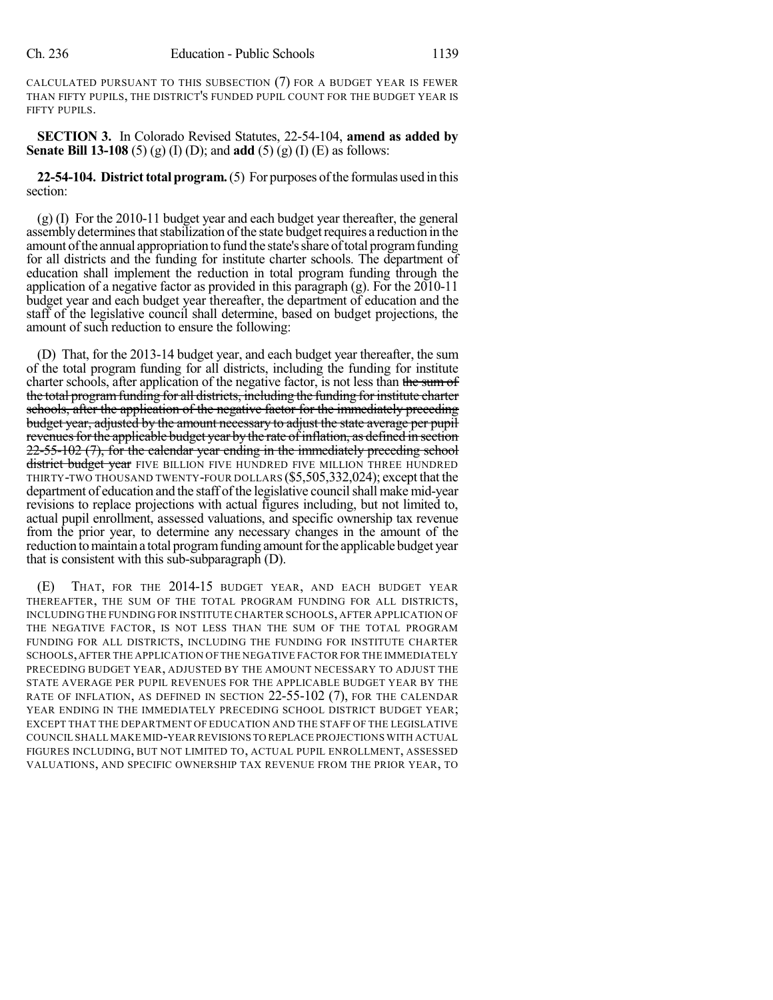CALCULATED PURSUANT TO THIS SUBSECTION (7) FOR A BUDGET YEAR IS FEWER THAN FIFTY PUPILS, THE DISTRICT'S FUNDED PUPIL COUNT FOR THE BUDGET YEAR IS FIFTY PUPILS.

**SECTION 3.** In Colorado Revised Statutes, 22-54-104, **amend as added by Senate Bill 13-108** (5) (g) (I) (D); and **add** (5) (g) (I) (E) as follows:

**22-54-104. District total program.** (5) For purposes of the formulas used in this section:

(g) (I) For the 2010-11 budget year and each budget year thereafter, the general assembly determines that stabilization of the state budget requires a reduction in the amount ofthe annual appropriation to fund the state'sshare oftotal programfunding for all districts and the funding for institute charter schools. The department of education shall implement the reduction in total program funding through the application of a negative factor as provided in this paragraph (g). For the 2010-11 budget year and each budget year thereafter, the department of education and the staff of the legislative council shall determine, based on budget projections, the amount of such reduction to ensure the following:

(D) That, for the 2013-14 budget year, and each budget year thereafter, the sum of the total program funding for all districts, including the funding for institute charter schools, after application of the negative factor, is not less than the sum of the total program funding for all districts, including the funding for institute charter schools, after the application of the negative factor for the immediately preceding budget year, adjusted by the amount necessary to adjust the state average per pupil revenues for the applicable budget year by the rate of inflation, as defined in section 22-55-102 (7), for the calendar year ending in the immediately preceding school district budget year FIVE BILLION FIVE HUNDRED FIVE MILLION THREE HUNDRED THIRTY-TWO THOUSAND TWENTY-FOUR DOLLARS (\$5,505,332,024); except that the department of education and the staff of the legislative council shall make mid-year revisions to replace projections with actual figures including, but not limited to, actual pupil enrollment, assessed valuations, and specific ownership tax revenue from the prior year, to determine any necessary changes in the amount of the reduction to maintain a total program funding amount for the applicable budget year that is consistent with this sub-subparagraph (D).

(E) THAT, FOR THE 2014-15 BUDGET YEAR, AND EACH BUDGET YEAR THEREAFTER, THE SUM OF THE TOTAL PROGRAM FUNDING FOR ALL DISTRICTS, INCLUDING THE FUNDING FOR INSTITUTE CHARTER SCHOOLS, AFTER APPLICATION OF THE NEGATIVE FACTOR, IS NOT LESS THAN THE SUM OF THE TOTAL PROGRAM FUNDING FOR ALL DISTRICTS, INCLUDING THE FUNDING FOR INSTITUTE CHARTER SCHOOLS,AFTER THE APPLICATION OF THE NEGATIVE FACTOR FOR THE IMMEDIATELY PRECEDING BUDGET YEAR, ADJUSTED BY THE AMOUNT NECESSARY TO ADJUST THE STATE AVERAGE PER PUPIL REVENUES FOR THE APPLICABLE BUDGET YEAR BY THE RATE OF INFLATION, AS DEFINED IN SECTION 22-55-102 (7), FOR THE CALENDAR YEAR ENDING IN THE IMMEDIATELY PRECEDING SCHOOL DISTRICT BUDGET YEAR; EXCEPT THAT THE DEPARTMENT OF EDUCATION AND THE STAFF OF THE LEGISLATIVE COUNCIL SHALL MAKE MID-YEAR REVISIONS TO REPLACE PROJECTIONS WITH ACTUAL FIGURES INCLUDING, BUT NOT LIMITED TO, ACTUAL PUPIL ENROLLMENT, ASSESSED VALUATIONS, AND SPECIFIC OWNERSHIP TAX REVENUE FROM THE PRIOR YEAR, TO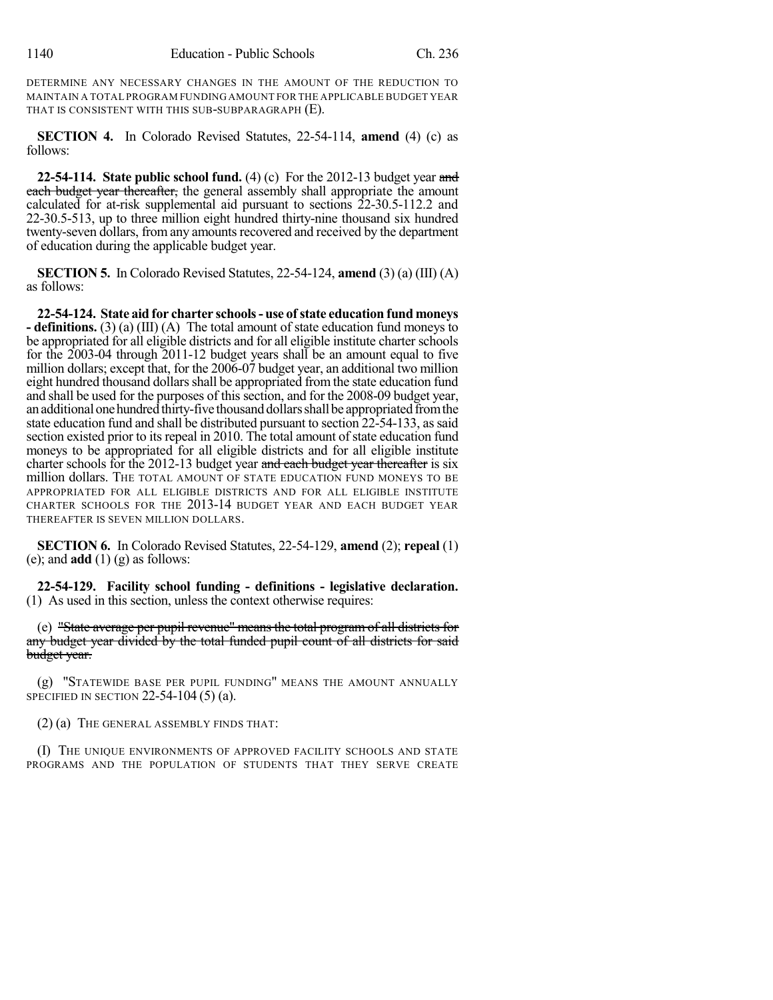DETERMINE ANY NECESSARY CHANGES IN THE AMOUNT OF THE REDUCTION TO MAINTAIN A TOTAL PROGRAM FUNDING AMOUNT FOR THE APPLICABLE BUDGET YEAR THAT IS CONSISTENT WITH THIS SUB-SUBPARAGRAPH (E).

**SECTION 4.** In Colorado Revised Statutes, 22-54-114, **amend** (4) (c) as follows:

**22-54-114. State public school fund.** (4) (c) For the 2012-13 budget year and each budget year thereafter, the general assembly shall appropriate the amount calculated for at-risk supplemental aid pursuant to sections 22-30.5-112.2 and 22-30.5-513, up to three million eight hundred thirty-nine thousand six hundred twenty-seven dollars, from any amounts recovered and received by the department of education during the applicable budget year.

**SECTION 5.** In Colorado Revised Statutes, 22-54-124, **amend** (3) (a) (III) (A) as follows:

**22-54-124. State aid for charter schools- use of state education fund moneys - definitions.** (3) (a) (III) (A) The total amount of state education fund moneys to be appropriated for all eligible districts and for all eligible institute charter schools for the 2003-04 through 2011-12 budget years shall be an amount equal to five million dollars; except that, for the 2006-07 budget year, an additional two million eight hundred thousand dollars shall be appropriated from the state education fund and shall be used for the purposes of this section, and for the 2008-09 budget year, an additional one hundred thirty-five thousand dollars shall be appropriated from the state education fund and shall be distributed pursuant to section 22-54-133, as said section existed prior to its repeal in 2010. The total amount of state education fund moneys to be appropriated for all eligible districts and for all eligible institute charter schools for the 2012-13 budget year and each budget year thereafter is six million dollars. THE TOTAL AMOUNT OF STATE EDUCATION FUND MONEYS TO BE APPROPRIATED FOR ALL ELIGIBLE DISTRICTS AND FOR ALL ELIGIBLE INSTITUTE CHARTER SCHOOLS FOR THE 2013-14 BUDGET YEAR AND EACH BUDGET YEAR THEREAFTER IS SEVEN MILLION DOLLARS.

**SECTION 6.** In Colorado Revised Statutes, 22-54-129, **amend** (2); **repeal** (1) (e); and **add** (1) (g) as follows:

**22-54-129. Facility school funding - definitions - legislative declaration.** (1) As used in this section, unless the context otherwise requires:

(e) "State average per pupil revenue" means the total program of all districts for any budget year divided by the total funded pupil count of all districts for said budget year.

(g) "STATEWIDE BASE PER PUPIL FUNDING" MEANS THE AMOUNT ANNUALLY SPECIFIED IN SECTION 22-54-104  $(5)$  (a).

(2) (a) THE GENERAL ASSEMBLY FINDS THAT:

(I) THE UNIQUE ENVIRONMENTS OF APPROVED FACILITY SCHOOLS AND STATE PROGRAMS AND THE POPULATION OF STUDENTS THAT THEY SERVE CREATE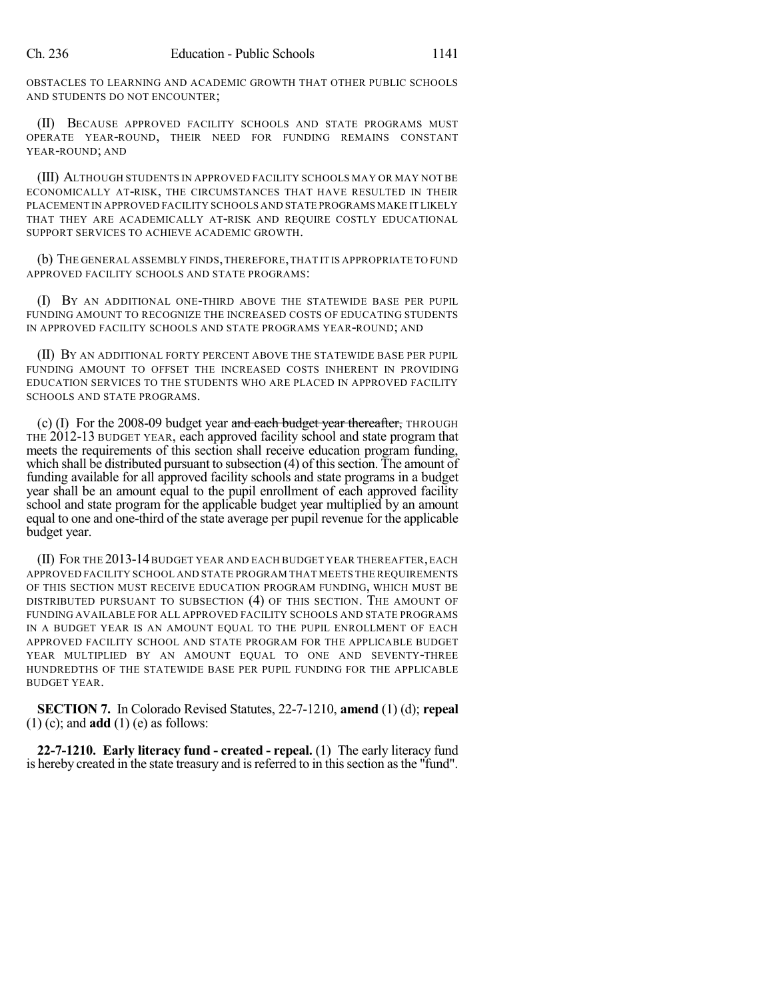OBSTACLES TO LEARNING AND ACADEMIC GROWTH THAT OTHER PUBLIC SCHOOLS AND STUDENTS DO NOT ENCOUNTER;

(II) BECAUSE APPROVED FACILITY SCHOOLS AND STATE PROGRAMS MUST OPERATE YEAR-ROUND, THEIR NEED FOR FUNDING REMAINS CONSTANT YEAR-ROUND; AND

(III) ALTHOUGH STUDENTS IN APPROVED FACILITY SCHOOLS MAY OR MAY NOT BE ECONOMICALLY AT-RISK, THE CIRCUMSTANCES THAT HAVE RESULTED IN THEIR PLACEMENT IN APPROVED FACILITY SCHOOLS AND STATE PROGRAMS MAKE IT LIKELY THAT THEY ARE ACADEMICALLY AT-RISK AND REQUIRE COSTLY EDUCATIONAL SUPPORT SERVICES TO ACHIEVE ACADEMIC GROWTH.

(b) THE GENERAL ASSEMBLY FINDS,THEREFORE,THAT IT IS APPROPRIATE TO FUND APPROVED FACILITY SCHOOLS AND STATE PROGRAMS:

(I) BY AN ADDITIONAL ONE-THIRD ABOVE THE STATEWIDE BASE PER PUPIL FUNDING AMOUNT TO RECOGNIZE THE INCREASED COSTS OF EDUCATING STUDENTS IN APPROVED FACILITY SCHOOLS AND STATE PROGRAMS YEAR-ROUND; AND

(II) BY AN ADDITIONAL FORTY PERCENT ABOVE THE STATEWIDE BASE PER PUPIL FUNDING AMOUNT TO OFFSET THE INCREASED COSTS INHERENT IN PROVIDING EDUCATION SERVICES TO THE STUDENTS WHO ARE PLACED IN APPROVED FACILITY SCHOOLS AND STATE PROGRAMS.

(c) (I) For the 2008-09 budget year and each budget year thereafter, THROUGH THE 2012-13 BUDGET YEAR, each approved facility school and state program that meets the requirements of this section shall receive education program funding, which shall be distributed pursuant to subsection (4) of this section. The amount of funding available for all approved facility schools and state programs in a budget year shall be an amount equal to the pupil enrollment of each approved facility school and state program for the applicable budget year multiplied by an amount equal to one and one-third of the state average per pupil revenue for the applicable budget year.

(II) FOR THE 2013-14BUDGET YEAR AND EACH BUDGET YEAR THEREAFTER,EACH APPROVED FACILITY SCHOOL AND STATE PROGRAM THAT MEETS THE REQUIREMENTS OF THIS SECTION MUST RECEIVE EDUCATION PROGRAM FUNDING, WHICH MUST BE DISTRIBUTED PURSUANT TO SUBSECTION (4) OF THIS SECTION. THE AMOUNT OF FUNDING AVAILABLE FOR ALL APPROVED FACILITY SCHOOLS AND STATE PROGRAMS IN A BUDGET YEAR IS AN AMOUNT EQUAL TO THE PUPIL ENROLLMENT OF EACH APPROVED FACILITY SCHOOL AND STATE PROGRAM FOR THE APPLICABLE BUDGET YEAR MULTIPLIED BY AN AMOUNT EQUAL TO ONE AND SEVENTY-THREE HUNDREDTHS OF THE STATEWIDE BASE PER PUPIL FUNDING FOR THE APPLICABLE BUDGET YEAR.

**SECTION 7.** In Colorado Revised Statutes, 22-7-1210, **amend** (1) (d); **repeal** (1) (c); and **add** (1) (e) as follows:

**22-7-1210. Early literacy fund - created - repeal.** (1) The early literacy fund is hereby created in the state treasury and is referred to in this section as the "fund".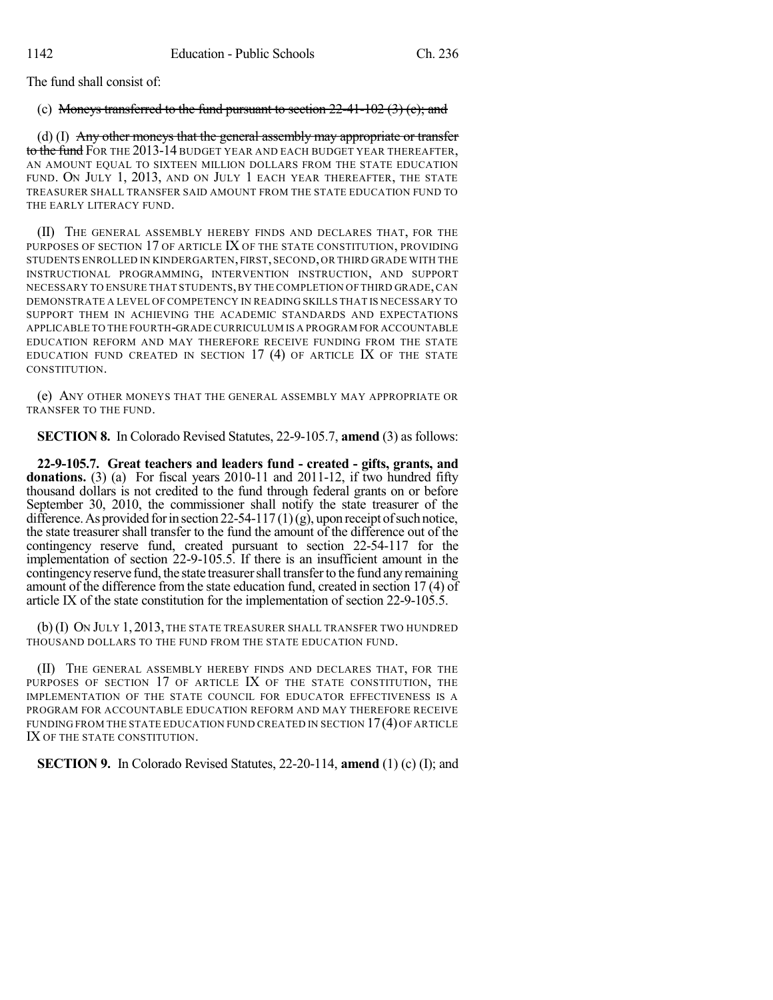The fund shall consist of:

#### (c) Moneys transferred to the fund pursuant to section  $22-41-102$  (3) (e); and

(d) (I) Any other moneys that the general assembly may appropriate or transfer to the fund FOR THE 2013-14 BUDGET YEAR AND EACH BUDGET YEAR THEREAFTER, AN AMOUNT EQUAL TO SIXTEEN MILLION DOLLARS FROM THE STATE EDUCATION FUND. ON JULY 1, 2013, AND ON JULY 1 EACH YEAR THEREAFTER, THE STATE TREASURER SHALL TRANSFER SAID AMOUNT FROM THE STATE EDUCATION FUND TO THE EARLY LITERACY FUND.

(II) THE GENERAL ASSEMBLY HEREBY FINDS AND DECLARES THAT, FOR THE PURPOSES OF SECTION 17 OF ARTICLE IX OF THE STATE CONSTITUTION, PROVIDING STUDENTS ENROLLED IN KINDERGARTEN, FIRST, SECOND,OR THIRD GRADE WITH THE INSTRUCTIONAL PROGRAMMING, INTERVENTION INSTRUCTION, AND SUPPORT NECESSARY TO ENSURE THAT STUDENTS,BY THE COMPLETION OF THIRD GRADE,CAN DEMONSTRATE A LEVEL OF COMPETENCY IN READING SKILLS THAT IS NECESSARY TO SUPPORT THEM IN ACHIEVING THE ACADEMIC STANDARDS AND EXPECTATIONS APPLICABLE TO THE FOURTH-GRADE CURRICULUM IS A PROGRAM FOR ACCOUNTABLE EDUCATION REFORM AND MAY THEREFORE RECEIVE FUNDING FROM THE STATE EDUCATION FUND CREATED IN SECTION 17 (4) OF ARTICLE IX OF THE STATE CONSTITUTION.

(e) ANY OTHER MONEYS THAT THE GENERAL ASSEMBLY MAY APPROPRIATE OR TRANSFER TO THE FUND.

**SECTION 8.** In Colorado Revised Statutes, 22-9-105.7, **amend** (3) as follows:

**22-9-105.7. Great teachers and leaders fund - created - gifts, grants, and donations.** (3) (a) For fiscal years 2010-11 and 2011-12, if two hundred fifty thousand dollars is not credited to the fund through federal grants on or before September 30, 2010, the commissioner shall notify the state treasurer of the difference. As provided for in section 22-54-117 (1)(g), upon receipt of such notice, the state treasurer shall transfer to the fund the amount of the difference out of the contingency reserve fund, created pursuant to section 22-54-117 for the implementation of section 22-9-105.5. If there is an insufficient amount in the contingency reserve fund, the state treasurer shall transfer to the fund any remaining amount of the difference from the state education fund, created in section 17 (4) of article IX of the state constitution for the implementation of section 22-9-105.5.

(b) (I) ON JULY 1, 2013, THE STATE TREASURER SHALL TRANSFER TWO HUNDRED THOUSAND DOLLARS TO THE FUND FROM THE STATE EDUCATION FUND.

(II) THE GENERAL ASSEMBLY HEREBY FINDS AND DECLARES THAT, FOR THE PURPOSES OF SECTION 17 OF ARTICLE IX OF THE STATE CONSTITUTION, THE IMPLEMENTATION OF THE STATE COUNCIL FOR EDUCATOR EFFECTIVENESS IS A PROGRAM FOR ACCOUNTABLE EDUCATION REFORM AND MAY THEREFORE RECEIVE FUNDING FROM THE STATE EDUCATION FUND CREATED IN SECTION  $17(4)$  OF ARTICLE IX OF THE STATE CONSTITUTION.

**SECTION 9.** In Colorado Revised Statutes, 22-20-114, **amend** (1) (c) (I); and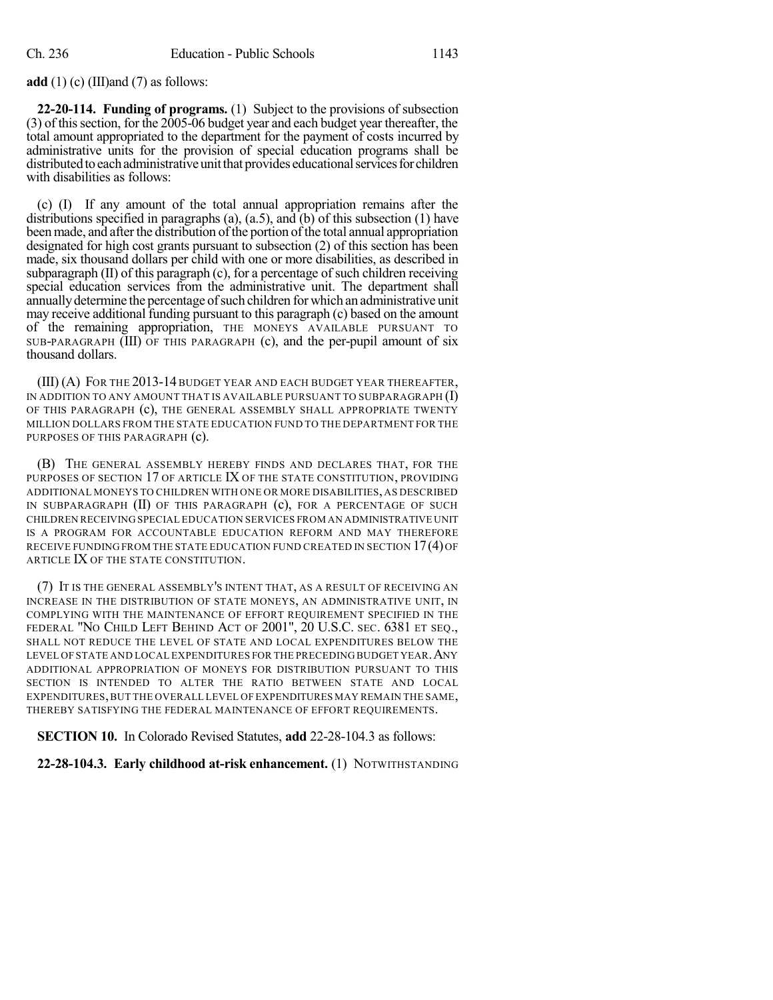## **add** (1) (c) (III)and (7) as follows:

**22-20-114. Funding of programs.** (1) Subject to the provisions of subsection (3) of thissection, for the 2005-06 budget year and each budget year thereafter, the total amount appropriated to the department for the payment of costs incurred by administrative units for the provision of special education programs shall be distributed to each administrative unit that provides educational services for children with disabilities as follows:

(c) (I) If any amount of the total annual appropriation remains after the distributions specified in paragraphs (a), (a.5), and (b) of this subsection (1) have been made, and after the distribution of the portion of the total annual appropriation designated for high cost grants pursuant to subsection (2) of this section has been made, six thousand dollars per child with one or more disabilities, as described in subparagraph (II) of this paragraph (c), for a percentage of such children receiving special education services from the administrative unit. The department shall annually determine the percentage of such children for which an administrative unit may receive additional funding pursuant to this paragraph (c) based on the amount of the remaining appropriation, THE MONEYS AVAILABLE PURSUANT TO SUB-PARAGRAPH (III) OF THIS PARAGRAPH (c), and the per-pupil amount of six thousand dollars.

(III) (A) FOR THE 2013-14 BUDGET YEAR AND EACH BUDGET YEAR THEREAFTER, IN ADDITION TO ANY AMOUNT THAT IS AVAILABLE PURSUANT TO SUBPARAGRAPH  $(I)$ OF THIS PARAGRAPH (c), THE GENERAL ASSEMBLY SHALL APPROPRIATE TWENTY MILLION DOLLARS FROM THE STATE EDUCATION FUND TO THE DEPARTMENT FOR THE PURPOSES OF THIS PARAGRAPH (c).

(B) THE GENERAL ASSEMBLY HEREBY FINDS AND DECLARES THAT, FOR THE PURPOSES OF SECTION 17 OF ARTICLE IX OF THE STATE CONSTITUTION, PROVIDING ADDITIONAL MONEYS TO CHILDREN WITH ONE OR MORE DISABILITIES, AS DESCRIBED IN SUBPARAGRAPH (II) OF THIS PARAGRAPH (c), FOR A PERCENTAGE OF SUCH CHILDREN RECEIVING SPECIAL EDUCATION SERVICES FROM AN ADMINISTRATIVE UNIT IS A PROGRAM FOR ACCOUNTABLE EDUCATION REFORM AND MAY THEREFORE RECEIVE FUNDING FROM THE STATE EDUCATION FUND CREATED IN SECTION 17(4)OF ARTICLE IX OF THE STATE CONSTITUTION.

(7) IT IS THE GENERAL ASSEMBLY'S INTENT THAT, AS A RESULT OF RECEIVING AN INCREASE IN THE DISTRIBUTION OF STATE MONEYS, AN ADMINISTRATIVE UNIT, IN COMPLYING WITH THE MAINTENANCE OF EFFORT REQUIREMENT SPECIFIED IN THE FEDERAL "NO CHILD LEFT BEHIND ACT OF 2001", 20 U.S.C. SEC. 6381 ET SEQ., SHALL NOT REDUCE THE LEVEL OF STATE AND LOCAL EXPENDITURES BELOW THE LEVEL OF STATE AND LOCAL EXPENDITURES FOR THE PRECEDING BUDGET YEAR.ANY ADDITIONAL APPROPRIATION OF MONEYS FOR DISTRIBUTION PURSUANT TO THIS SECTION IS INTENDED TO ALTER THE RATIO BETWEEN STATE AND LOCAL EXPENDITURES,BUT THE OVERALL LEVEL OF EXPENDITURES MAY REMAIN THE SAME, THEREBY SATISFYING THE FEDERAL MAINTENANCE OF EFFORT REQUIREMENTS.

**SECTION 10.** In Colorado Revised Statutes, **add** 22-28-104.3 as follows:

# **22-28-104.3. Early childhood at-risk enhancement.** (1) NOTWITHSTANDING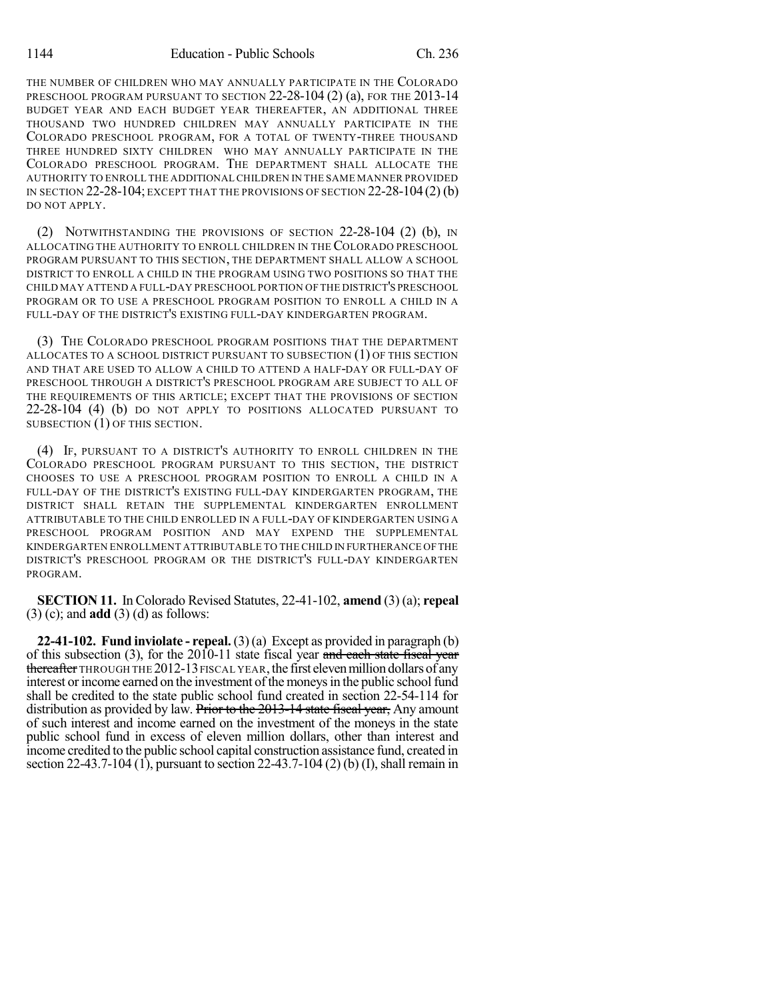THE NUMBER OF CHILDREN WHO MAY ANNUALLY PARTICIPATE IN THE COLORADO PRESCHOOL PROGRAM PURSUANT TO SECTION 22-28-104 (2) (a), FOR THE 2013-14 BUDGET YEAR AND EACH BUDGET YEAR THEREAFTER, AN ADDITIONAL THREE THOUSAND TWO HUNDRED CHILDREN MAY ANNUALLY PARTICIPATE IN THE COLORADO PRESCHOOL PROGRAM, FOR A TOTAL OF TWENTY-THREE THOUSAND THREE HUNDRED SIXTY CHILDREN WHO MAY ANNUALLY PARTICIPATE IN THE COLORADO PRESCHOOL PROGRAM. THE DEPARTMENT SHALL ALLOCATE THE AUTHORITY TO ENROLL THE ADDITIONAL CHILDREN IN THE SAME MANNER PROVIDED IN SECTION  $22-28-104$ ; EXCEPT THAT THE PROVISIONS OF SECTION  $22-28-104(2)$  (b) DO NOT APPLY.

(2) NOTWITHSTANDING THE PROVISIONS OF SECTION 22-28-104 (2) (b), IN ALLOCATING THE AUTHORITY TO ENROLL CHILDREN IN THE COLORADO PRESCHOOL PROGRAM PURSUANT TO THIS SECTION, THE DEPARTMENT SHALL ALLOW A SCHOOL DISTRICT TO ENROLL A CHILD IN THE PROGRAM USING TWO POSITIONS SO THAT THE CHILD MAY ATTEND A FULL-DAY PRESCHOOL PORTION OF THE DISTRICT'S PRESCHOOL PROGRAM OR TO USE A PRESCHOOL PROGRAM POSITION TO ENROLL A CHILD IN A FULL-DAY OF THE DISTRICT'S EXISTING FULL-DAY KINDERGARTEN PROGRAM.

(3) THE COLORADO PRESCHOOL PROGRAM POSITIONS THAT THE DEPARTMENT ALLOCATES TO A SCHOOL DISTRICT PURSUANT TO SUBSECTION (1) OF THIS SECTION AND THAT ARE USED TO ALLOW A CHILD TO ATTEND A HALF-DAY OR FULL-DAY OF PRESCHOOL THROUGH A DISTRICT'S PRESCHOOL PROGRAM ARE SUBJECT TO ALL OF THE REQUIREMENTS OF THIS ARTICLE; EXCEPT THAT THE PROVISIONS OF SECTION 22-28-104 (4) (b) DO NOT APPLY TO POSITIONS ALLOCATED PURSUANT TO SUBSECTION (1) OF THIS SECTION.

(4) IF, PURSUANT TO A DISTRICT'S AUTHORITY TO ENROLL CHILDREN IN THE COLORADO PRESCHOOL PROGRAM PURSUANT TO THIS SECTION, THE DISTRICT CHOOSES TO USE A PRESCHOOL PROGRAM POSITION TO ENROLL A CHILD IN A FULL-DAY OF THE DISTRICT'S EXISTING FULL-DAY KINDERGARTEN PROGRAM, THE DISTRICT SHALL RETAIN THE SUPPLEMENTAL KINDERGARTEN ENROLLMENT ATTRIBUTABLE TO THE CHILD ENROLLED IN A FULL-DAY OF KINDERGARTEN USING A PRESCHOOL PROGRAM POSITION AND MAY EXPEND THE SUPPLEMENTAL KINDERGARTEN ENROLLMENT ATTRIBUTABLE TO THE CHILD IN FURTHERANCE OFTHE DISTRICT'S PRESCHOOL PROGRAM OR THE DISTRICT'S FULL-DAY KINDERGARTEN PROGRAM.

**SECTION 11.** In Colorado Revised Statutes, 22-41-102, **amend** (3) (a); **repeal** (3) (c); and **add** (3) (d) as follows:

**22-41-102. Fund inviolate - repeal.** (3) (a) Except as provided in paragraph (b) of this subsection  $(3)$ , for the 2010-11 state fiscal year and each state fiscal year thereafter THROUGH THE 2012-13 FISCAL YEAR, the first eleven million dollars of any interest or income earned on the investment of the moneys in the public school fund shall be credited to the state public school fund created in section 22-54-114 for distribution as provided by law. Prior to the 2013-14 state fiscal year, Any amount of such interest and income earned on the investment of the moneys in the state public school fund in excess of eleven million dollars, other than interest and income credited to the public school capital construction assistance fund, created in section 22-43.7-104 (1), pursuant to section 22-43.7-104 (2) (b) (I), shall remain in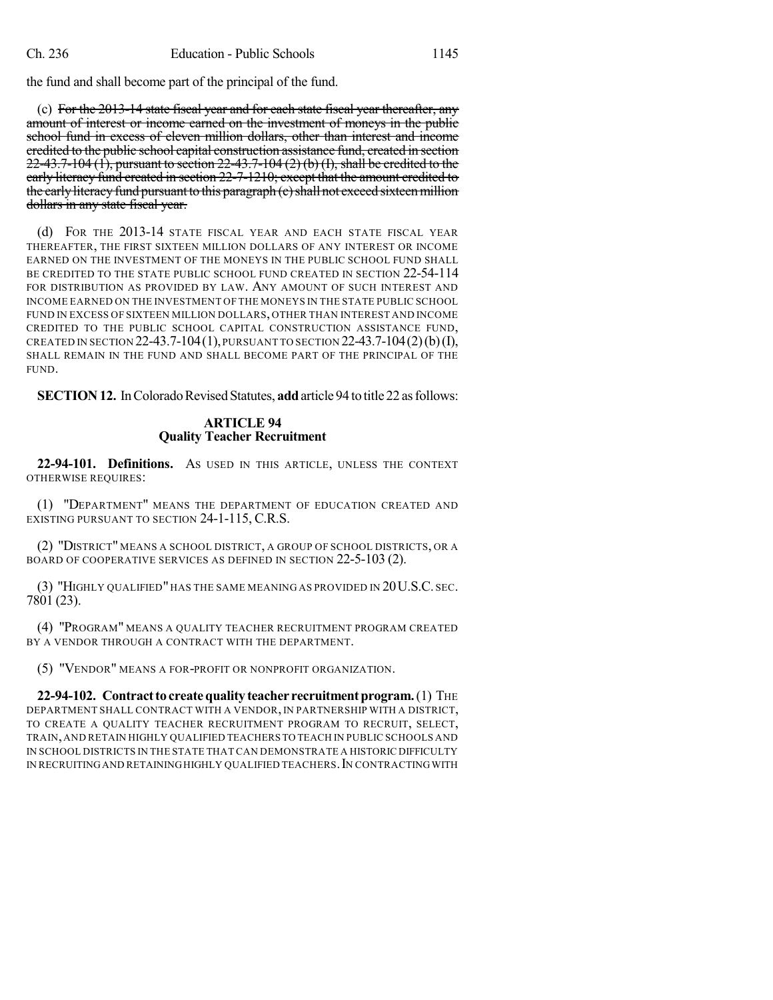the fund and shall become part of the principal of the fund.

(c) For the  $2013-14$  state fiscal year and for each state fiscal year thereafter, any amount of interest or income earned on the investment of moneys in the public school fund in excess of eleven million dollars, other than interest and income credited to the public school capital construction assistance fund, created in section  $22-43.7-104$  (1), pursuant to section  $22-43.7-104$  (2) (b) (I), shall be credited to the early literacy fund created in section 22-7-1210; except that the amount credited to the early literacy fund pursuant to this paragraph (e) shall not exceed sixteen million dollars in any state fiscal year.

(d) FOR THE 2013-14 STATE FISCAL YEAR AND EACH STATE FISCAL YEAR THEREAFTER, THE FIRST SIXTEEN MILLION DOLLARS OF ANY INTEREST OR INCOME EARNED ON THE INVESTMENT OF THE MONEYS IN THE PUBLIC SCHOOL FUND SHALL BE CREDITED TO THE STATE PUBLIC SCHOOL FUND CREATED IN SECTION 22-54-114 FOR DISTRIBUTION AS PROVIDED BY LAW. ANY AMOUNT OF SUCH INTEREST AND INCOME EARNED ON THE INVESTMENT OF THE MONEYS IN THE STATE PUBLIC SCHOOL FUND IN EXCESS OF SIXTEEN MILLION DOLLARS, OTHER THAN INTEREST AND INCOME CREDITED TO THE PUBLIC SCHOOL CAPITAL CONSTRUCTION ASSISTANCE FUND, CREATED IN SECTION 22-43.7-104(1), PURSUANT TO SECTION 22-43.7-104(2)(b)(I), SHALL REMAIN IN THE FUND AND SHALL BECOME PART OF THE PRINCIPAL OF THE FUND.

**SECTION 12.** In Colorado Revised Statutes, **add** article 94 to title 22 as follows:

## **ARTICLE 94 Quality Teacher Recruitment**

**22-94-101. Definitions.** AS USED IN THIS ARTICLE, UNLESS THE CONTEXT OTHERWISE REQUIRES:

(1) "DEPARTMENT" MEANS THE DEPARTMENT OF EDUCATION CREATED AND EXISTING PURSUANT TO SECTION 24-1-115, C.R.S.

(2) "DISTRICT" MEANS A SCHOOL DISTRICT, A GROUP OF SCHOOL DISTRICTS, OR A BOARD OF COOPERATIVE SERVICES AS DEFINED IN SECTION 22-5-103 (2).

(3) "HIGHLY QUALIFIED" HAS THE SAME MEANING AS PROVIDED IN 20U.S.C. SEC. 7801 (23).

(4) "PROGRAM" MEANS A QUALITY TEACHER RECRUITMENT PROGRAM CREATED BY A VENDOR THROUGH A CONTRACT WITH THE DEPARTMENT.

(5) "VENDOR" MEANS A FOR-PROFIT OR NONPROFIT ORGANIZATION.

**22-94-102. Contractto createquality teacher recruitmentprogram.**(1) THE DEPARTMENT SHALL CONTRACT WITH A VENDOR, IN PARTNERSHIP WITH A DISTRICT, TO CREATE A QUALITY TEACHER RECRUITMENT PROGRAM TO RECRUIT, SELECT, TRAIN,AND RETAIN HIGHLY QUALIFIED TEACHERS TO TEACH IN PUBLIC SCHOOLS AND IN SCHOOL DISTRICTS IN THE STATE THAT CAN DEMONSTRATE A HISTORIC DIFFICULTY IN RECRUITING AND RETAINING HIGHLY QUALIFIED TEACHERS. IN CONTRACTING WITH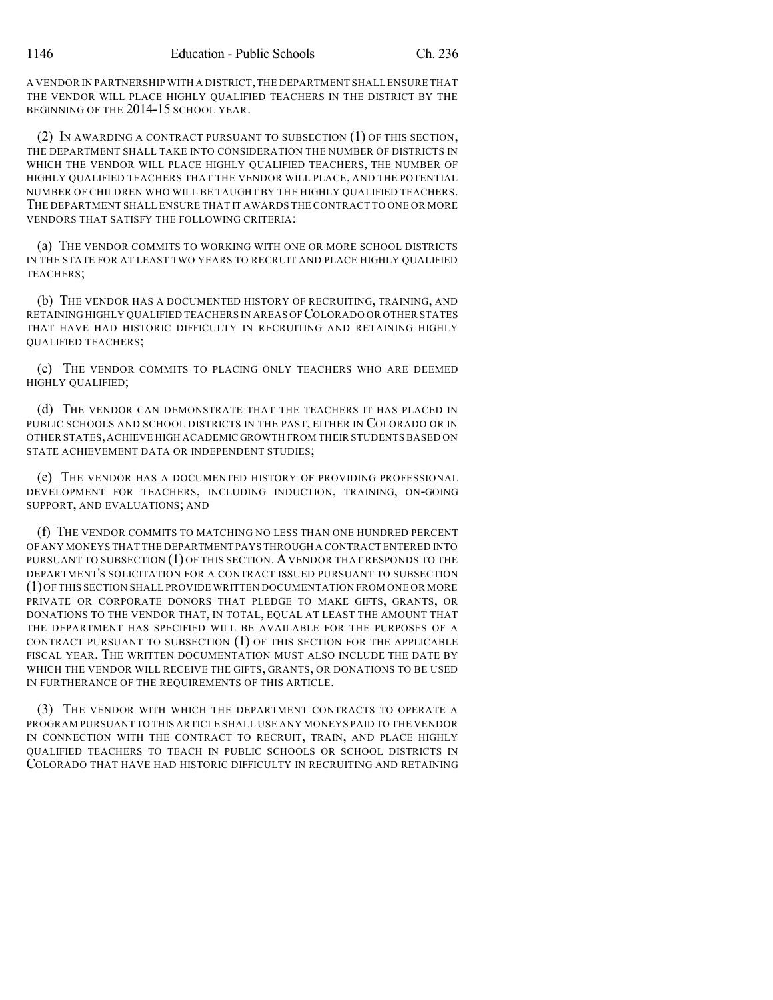A VENDOR IN PARTNERSHIP WITH A DISTRICT,THE DEPARTMENT SHALL ENSURE THAT THE VENDOR WILL PLACE HIGHLY QUALIFIED TEACHERS IN THE DISTRICT BY THE BEGINNING OF THE 2014-15 SCHOOL YEAR.

(2) IN AWARDING A CONTRACT PURSUANT TO SUBSECTION (1) OF THIS SECTION, THE DEPARTMENT SHALL TAKE INTO CONSIDERATION THE NUMBER OF DISTRICTS IN WHICH THE VENDOR WILL PLACE HIGHLY QUALIFIED TEACHERS, THE NUMBER OF HIGHLY QUALIFIED TEACHERS THAT THE VENDOR WILL PLACE, AND THE POTENTIAL NUMBER OF CHILDREN WHO WILL BE TAUGHT BY THE HIGHLY QUALIFIED TEACHERS. THE DEPARTMENT SHALL ENSURE THAT IT AWARDS THE CONTRACT TO ONE OR MORE VENDORS THAT SATISFY THE FOLLOWING CRITERIA:

(a) THE VENDOR COMMITS TO WORKING WITH ONE OR MORE SCHOOL DISTRICTS IN THE STATE FOR AT LEAST TWO YEARS TO RECRUIT AND PLACE HIGHLY QUALIFIED TEACHERS;

(b) THE VENDOR HAS A DOCUMENTED HISTORY OF RECRUITING, TRAINING, AND RETAINING HIGHLY QUALIFIED TEACHERS IN AREAS OF COLORADO OR OTHER STATES THAT HAVE HAD HISTORIC DIFFICULTY IN RECRUITING AND RETAINING HIGHLY QUALIFIED TEACHERS;

(c) THE VENDOR COMMITS TO PLACING ONLY TEACHERS WHO ARE DEEMED HIGHLY QUALIFIED;

(d) THE VENDOR CAN DEMONSTRATE THAT THE TEACHERS IT HAS PLACED IN PUBLIC SCHOOLS AND SCHOOL DISTRICTS IN THE PAST, EITHER IN COLORADO OR IN OTHER STATES,ACHIEVE HIGH ACADEMIC GROWTH FROM THEIR STUDENTS BASED ON STATE ACHIEVEMENT DATA OR INDEPENDENT STUDIES;

(e) THE VENDOR HAS A DOCUMENTED HISTORY OF PROVIDING PROFESSIONAL DEVELOPMENT FOR TEACHERS, INCLUDING INDUCTION, TRAINING, ON-GOING SUPPORT, AND EVALUATIONS; AND

(f) THE VENDOR COMMITS TO MATCHING NO LESS THAN ONE HUNDRED PERCENT OF ANY MONEYS THAT THE DEPARTMENT PAYS THROUGH A CONTRACT ENTERED INTO PURSUANT TO SUBSECTION (1) OF THIS SECTION. A VENDOR THAT RESPONDS TO THE DEPARTMENT'S SOLICITATION FOR A CONTRACT ISSUED PURSUANT TO SUBSECTION (1)OF THIS SECTION SHALL PROVIDE WRITTEN DOCUMENTATION FROM ONE OR MORE PRIVATE OR CORPORATE DONORS THAT PLEDGE TO MAKE GIFTS, GRANTS, OR DONATIONS TO THE VENDOR THAT, IN TOTAL, EQUAL AT LEAST THE AMOUNT THAT THE DEPARTMENT HAS SPECIFIED WILL BE AVAILABLE FOR THE PURPOSES OF A CONTRACT PURSUANT TO SUBSECTION (1) OF THIS SECTION FOR THE APPLICABLE FISCAL YEAR. THE WRITTEN DOCUMENTATION MUST ALSO INCLUDE THE DATE BY WHICH THE VENDOR WILL RECEIVE THE GIFTS, GRANTS, OR DONATIONS TO BE USED IN FURTHERANCE OF THE REQUIREMENTS OF THIS ARTICLE.

(3) THE VENDOR WITH WHICH THE DEPARTMENT CONTRACTS TO OPERATE A PROGRAM PURSUANT TO THIS ARTICLE SHALL USE ANY MONEYS PAID TO THE VENDOR IN CONNECTION WITH THE CONTRACT TO RECRUIT, TRAIN, AND PLACE HIGHLY QUALIFIED TEACHERS TO TEACH IN PUBLIC SCHOOLS OR SCHOOL DISTRICTS IN COLORADO THAT HAVE HAD HISTORIC DIFFICULTY IN RECRUITING AND RETAINING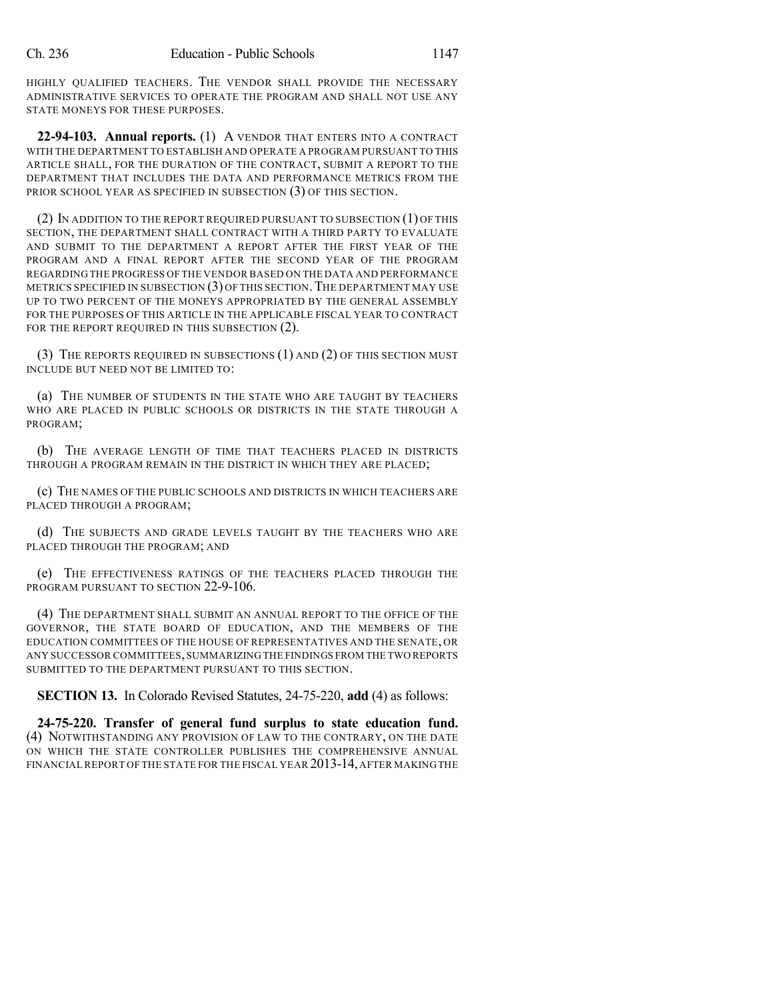HIGHLY QUALIFIED TEACHERS. THE VENDOR SHALL PROVIDE THE NECESSARY ADMINISTRATIVE SERVICES TO OPERATE THE PROGRAM AND SHALL NOT USE ANY STATE MONEYS FOR THESE PURPOSES.

**22-94-103. Annual reports.** (1) A VENDOR THAT ENTERS INTO A CONTRACT WITH THE DEPARTMENT TO ESTABLISH AND OPERATE A PROGRAM PURSUANT TO THIS ARTICLE SHALL, FOR THE DURATION OF THE CONTRACT, SUBMIT A REPORT TO THE DEPARTMENT THAT INCLUDES THE DATA AND PERFORMANCE METRICS FROM THE PRIOR SCHOOL YEAR AS SPECIFIED IN SUBSECTION (3) OF THIS SECTION.

(2) IN ADDITION TO THE REPORT REQUIRED PURSUANT TO SUBSECTION (1) OF THIS SECTION, THE DEPARTMENT SHALL CONTRACT WITH A THIRD PARTY TO EVALUATE AND SUBMIT TO THE DEPARTMENT A REPORT AFTER THE FIRST YEAR OF THE PROGRAM AND A FINAL REPORT AFTER THE SECOND YEAR OF THE PROGRAM REGARDING THE PROGRESS OF THE VENDOR BASED ON THE DATA AND PERFORMANCE METRICS SPECIFIED IN SUBSECTION  $(3)$  OF THIS SECTION. THE DEPARTMENT MAY USE UP TO TWO PERCENT OF THE MONEYS APPROPRIATED BY THE GENERAL ASSEMBLY FOR THE PURPOSES OF THIS ARTICLE IN THE APPLICABLE FISCAL YEAR TO CONTRACT FOR THE REPORT REQUIRED IN THIS SUBSECTION (2).

(3) THE REPORTS REQUIRED IN SUBSECTIONS (1) AND (2) OF THIS SECTION MUST INCLUDE BUT NEED NOT BE LIMITED TO:

(a) THE NUMBER OF STUDENTS IN THE STATE WHO ARE TAUGHT BY TEACHERS WHO ARE PLACED IN PUBLIC SCHOOLS OR DISTRICTS IN THE STATE THROUGH A PROGRAM;

(b) THE AVERAGE LENGTH OF TIME THAT TEACHERS PLACED IN DISTRICTS THROUGH A PROGRAM REMAIN IN THE DISTRICT IN WHICH THEY ARE PLACED;

(c) THE NAMES OF THE PUBLIC SCHOOLS AND DISTRICTS IN WHICH TEACHERS ARE PLACED THROUGH A PROGRAM;

(d) THE SUBJECTS AND GRADE LEVELS TAUGHT BY THE TEACHERS WHO ARE PLACED THROUGH THE PROGRAM; AND

(e) THE EFFECTIVENESS RATINGS OF THE TEACHERS PLACED THROUGH THE PROGRAM PURSUANT TO SECTION 22-9-106.

(4) THE DEPARTMENT SHALL SUBMIT AN ANNUAL REPORT TO THE OFFICE OF THE GOVERNOR, THE STATE BOARD OF EDUCATION, AND THE MEMBERS OF THE EDUCATION COMMITTEES OF THE HOUSE OF REPRESENTATIVES AND THE SENATE, OR ANY SUCCESSOR COMMITTEES,SUMMARIZING THE FINDINGS FROM THE TWO REPORTS SUBMITTED TO THE DEPARTMENT PURSUANT TO THIS SECTION.

**SECTION 13.** In Colorado Revised Statutes, 24-75-220, **add** (4) as follows:

**24-75-220. Transfer of general fund surplus to state education fund.** (4) NOTWITHSTANDING ANY PROVISION OF LAW TO THE CONTRARY, ON THE DATE ON WHICH THE STATE CONTROLLER PUBLISHES THE COMPREHENSIVE ANNUAL FINANCIAL REPORT OF THE STATE FOR THE FISCAL YEAR 2013-14, AFTER MAKING THE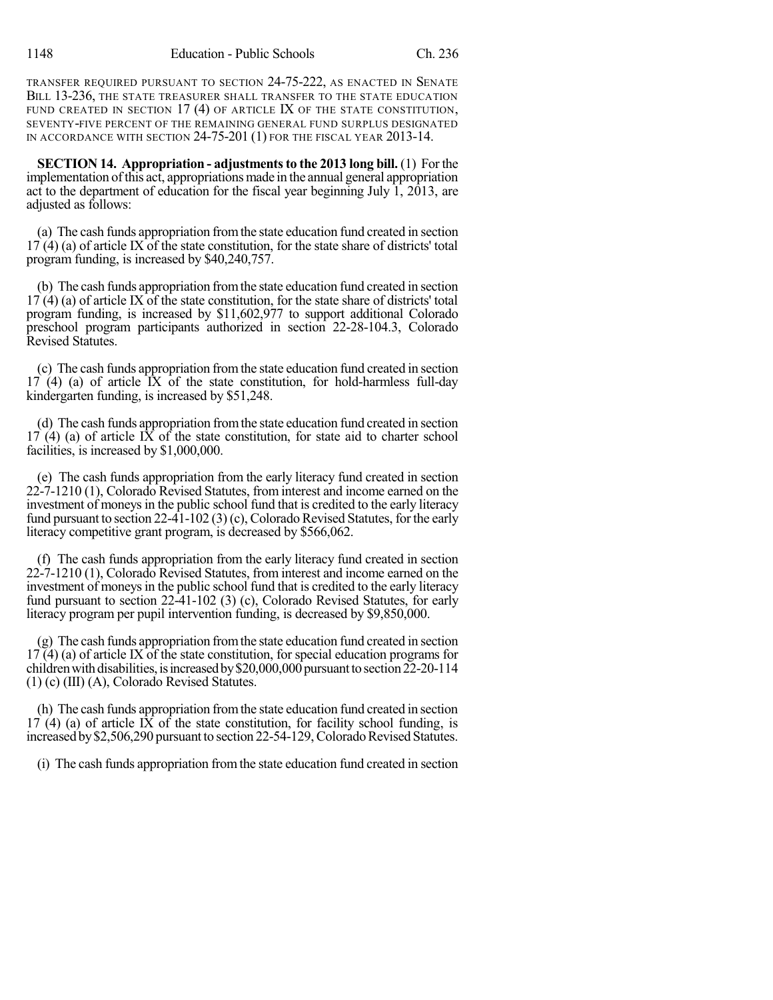TRANSFER REQUIRED PURSUANT TO SECTION 24-75-222, AS ENACTED IN SENATE BILL 13-236, THE STATE TREASURER SHALL TRANSFER TO THE STATE EDUCATION FUND CREATED IN SECTION 17 (4) OF ARTICLE IX OF THE STATE CONSTITUTION, SEVENTY-FIVE PERCENT OF THE REMAINING GENERAL FUND SURPLUS DESIGNATED IN ACCORDANCE WITH SECTION 24-75-201 (1) FOR THE FISCAL YEAR 2013-14.

**SECTION 14. Appropriation - adjustments to the 2013 long bill.** (1) For the implementation ofthis act, appropriations made in the annual general appropriation act to the department of education for the fiscal year beginning July 1, 2013, are adjusted as follows:

(a) The cash funds appropriation fromthe state education fund created in section 17 (4) (a) of article IX of the state constitution, for the state share of districts' total program funding, is increased by \$40,240,757.

(b) The cash funds appropriation fromthe state education fund created in section 17 (4) (a) of article IX of the state constitution, for the state share of districts' total program funding, is increased by \$11,602,977 to support additional Colorado preschool program participants authorized in section 22-28-104.3, Colorado Revised Statutes.

(c) The cash funds appropriation fromthe state education fund created in section  $17(4)$  (a) of article  $\overline{1}X$  of the state constitution, for hold-harmless full-day kindergarten funding, is increased by \$51,248.

(d) The cash funds appropriation fromthe state education fund created in section  $17(4)$  (a) of article IX of the state constitution, for state aid to charter school facilities, is increased by \$1,000,000.

(e) The cash funds appropriation from the early literacy fund created in section 22-7-1210 (1), Colorado Revised Statutes, from interest and income earned on the investment of moneys in the public school fund that is credited to the early literacy fund pursuant to section  $22-41-102$  (3) (c), Colorado Revised Statutes, for the early literacy competitive grant program, is decreased by \$566,062.

(f) The cash funds appropriation from the early literacy fund created in section 22-7-1210 (1), Colorado Revised Statutes, from interest and income earned on the investment of moneys in the public school fund that is credited to the early literacy fund pursuant to section 22-41-102 (3) (c), Colorado Revised Statutes, for early literacy program per pupil intervention funding, is decreased by \$9,850,000.

(g) The cash funds appropriation fromthe state education fund created in section  $17(4)$  (a) of article IX of the state constitution, for special education programs for children with disabilities, is increased by  $$20,000,000$  pursuant to section 22-20-114 (1) (c) (III) (A), Colorado Revised Statutes.

(h) The cash funds appropriation fromthe state education fund created in section  $17$  (4) (a) of article IX of the state constitution, for facility school funding, is increased by \$2,506,290 pursuant to section 22-54-129, Colorado Revised Statutes.

(i) The cash funds appropriation fromthe state education fund created in section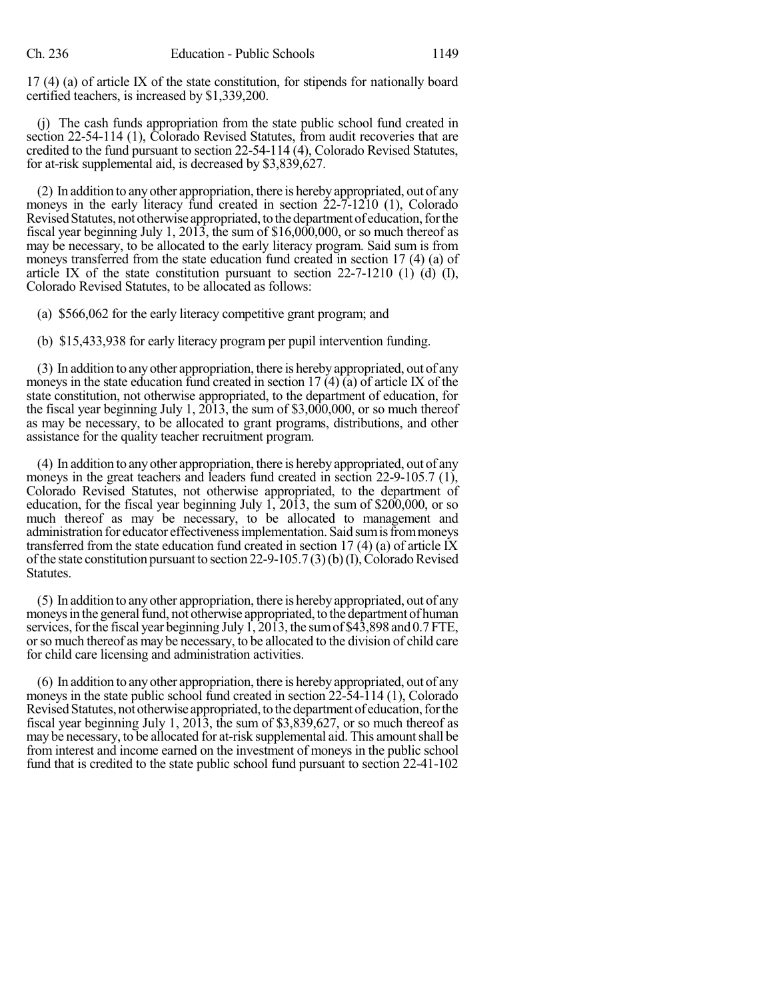17 (4) (a) of article IX of the state constitution, for stipends for nationally board certified teachers, is increased by \$1,339,200.

(j) The cash funds appropriation from the state public school fund created in section 22-54-114 (1), Colorado Revised Statutes, from audit recoveries that are credited to the fund pursuant to section 22-54-114 (4), Colorado Revised Statutes, for at-risk supplemental aid, is decreased by \$3,839,627.

(2) In addition to anyother appropriation, there is herebyappropriated, out of any moneys in the early literacy fund created in section 22-7-1210 (1), Colorado Revised Statutes, not otherwise appropriated, to the department of education, for the fiscal year beginning July 1, 2013, the sum of \$16,000,000, or so much thereof as may be necessary, to be allocated to the early literacy program. Said sum is from moneys transferred from the state education fund created in section 17 (4) (a) of article IX of the state constitution pursuant to section  $22-7-1210$  (1) (d) (I), Colorado Revised Statutes, to be allocated as follows:

(a) \$566,062 for the early literacy competitive grant program; and

(b) \$15,433,938 for early literacy program per pupil intervention funding.

(3) In addition to anyother appropriation, there is herebyappropriated, out of any moneys in the state education fund created in section 17 (4) (a) of article IX of the state constitution, not otherwise appropriated, to the department of education, for the fiscal year beginning July 1, 2013, the sum of \$3,000,000, or so much thereof as may be necessary, to be allocated to grant programs, distributions, and other assistance for the quality teacher recruitment program.

(4) In addition to anyother appropriation, there is herebyappropriated, out of any moneys in the great teachers and leaders fund created in section 22-9-105.7 (1), Colorado Revised Statutes, not otherwise appropriated, to the department of education, for the fiscal year beginning July 1, 2013, the sum of \$200,000, or so much thereof as may be necessary, to be allocated to management and administration for educator effectivenessimplementation. Said sumisfrommoneys transferred from the state education fund created in section 17 (4) (a) of article IX of the state constitution pursuant to section 22-9-105.7 (3)(b)(I), Colorado Revised Statutes.

(5) In addition to anyother appropriation, there is herebyappropriated, out of any moneys in the general fund, not otherwise appropriated, to the department of human services, for the fiscal year beginning July 1, 2013, the sum of \$43,898 and 0.7 FTE, orso much thereof as may be necessary, to be allocated to the division of child care for child care licensing and administration activities.

(6) In addition to anyother appropriation, there is herebyappropriated, out of any moneys in the state public school fund created in section 22-54-114 (1), Colorado Revised Statutes, not otherwise appropriated, to the department of education, for the fiscal year beginning July 1, 2013, the sum of \$3,839,627, or so much thereof as may be necessary, to be allocated for at-risk supplemental aid. This amount shall be from interest and income earned on the investment of moneys in the public school fund that is credited to the state public school fund pursuant to section 22-41-102